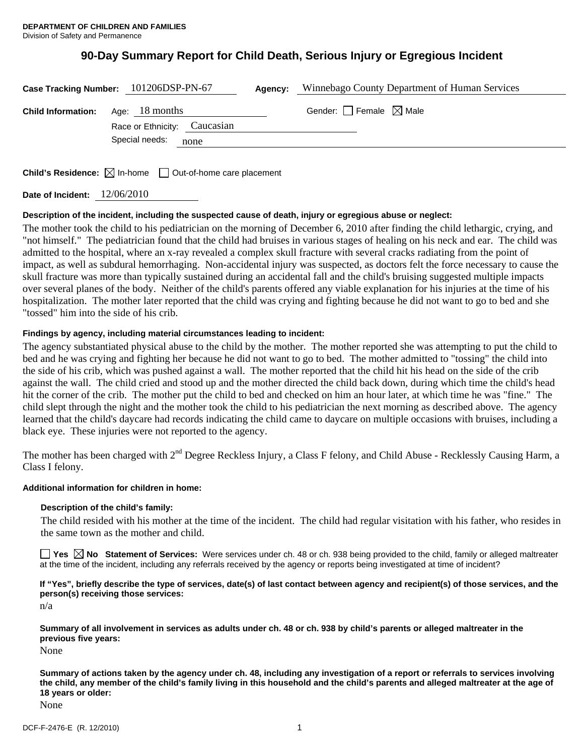# **90-Day Summary Report for Child Death, Serious Injury or Egregious Incident**

|                           | Case Tracking Number: 101206DSP-PN-67          | Agency: | Winnebago County Department of Human Services |
|---------------------------|------------------------------------------------|---------|-----------------------------------------------|
| <b>Child Information:</b> | Age: 18 months<br>Race or Ethnicity: Caucasian |         | Gender: $\Box$ Female $\boxtimes$ Male        |
|                           | Special needs:<br>none                         |         |                                               |
|                           |                                                |         |                                               |

**Child's Residence:**  $\boxtimes$  In-home  $\Box$  Out-of-home care placement

**Date of Incident:** 12/06/2010

# **Description of the incident, including the suspected cause of death, injury or egregious abuse or neglect:**

The mother took the child to his pediatrician on the morning of December 6, 2010 after finding the child lethargic, crying, and "not himself." The pediatrician found that the child had bruises in various stages of healing on his neck and ear. The child was admitted to the hospital, where an x-ray revealed a complex skull fracture with several cracks radiating from the point of impact, as well as subdural hemorrhaging. Non-accidental injury was suspected, as doctors felt the force necessary to cause the skull fracture was more than typically sustained during an accidental fall and the child's bruising suggested multiple impacts over several planes of the body. Neither of the child's parents offered any viable explanation for his injuries at the time of his hospitalization. The mother later reported that the child was crying and fighting because he did not want to go to bed and she "tossed" him into the side of his crib.

# **Findings by agency, including material circumstances leading to incident:**

The agency substantiated physical abuse to the child by the mother. The mother reported she was attempting to put the child to bed and he was crying and fighting her because he did not want to go to bed. The mother admitted to "tossing" the child into the side of his crib, which was pushed against a wall. The mother reported that the child hit his head on the side of the crib against the wall. The child cried and stood up and the mother directed the child back down, during which time the child's head hit the corner of the crib. The mother put the child to bed and checked on him an hour later, at which time he was "fine." The child slept through the night and the mother took the child to his pediatrician the next morning as described above. The agency learned that the child's daycare had records indicating the child came to daycare on multiple occasions with bruises, including a black eye. These injuries were not reported to the agency.

The mother has been charged with  $2^{nd}$  Degree Reckless Injury, a Class F felony, and Child Abuse - Recklessly Causing Harm, a Class I felony.

# **Additional information for children in home:**

## **Description of the child's family:**

 The child resided with his mother at the time of the incident. The child had regular visitation with his father, who resides in the same town as the mother and child.

**Yes No Statement of Services:** Were services under ch. 48 or ch. 938 being provided to the child, family or alleged maltreater at the time of the incident, including any referrals received by the agency or reports being investigated at time of incident?

**If "Yes", briefly describe the type of services, date(s) of last contact between agency and recipient(s) of those services, and the person(s) receiving those services:** 

n/a

**Summary of all involvement in services as adults under ch. 48 or ch. 938 by child's parents or alleged maltreater in the previous five years:** 

None

**Summary of actions taken by the agency under ch. 48, including any investigation of a report or referrals to services involving the child, any member of the child's family living in this household and the child's parents and alleged maltreater at the age of 18 years or older:** 

None